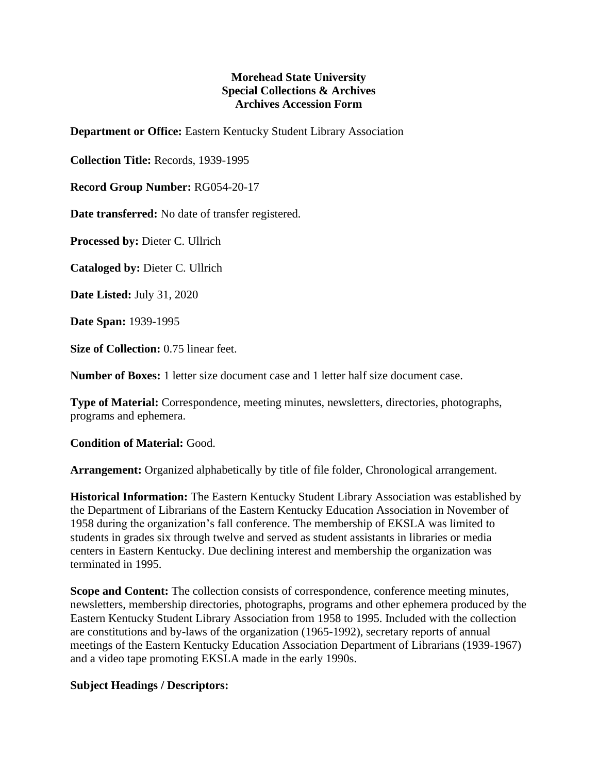## **Morehead State University Special Collections & Archives Archives Accession Form**

**Department or Office:** Eastern Kentucky Student Library Association

**Collection Title:** Records, 1939-1995

**Record Group Number:** RG054-20-17

**Date transferred:** No date of transfer registered.

**Processed by:** Dieter C. Ullrich

**Cataloged by:** Dieter C. Ullrich

**Date Listed:** July 31, 2020

**Date Span:** 1939-1995

**Size of Collection:** 0.75 linear feet.

**Number of Boxes:** 1 letter size document case and 1 letter half size document case.

**Type of Material:** Correspondence, meeting minutes, newsletters, directories, photographs, programs and ephemera.

**Condition of Material:** Good.

**Arrangement:** Organized alphabetically by title of file folder, Chronological arrangement.

**Historical Information:** The Eastern Kentucky Student Library Association was established by the Department of Librarians of the Eastern Kentucky Education Association in November of 1958 during the organization's fall conference. The membership of EKSLA was limited to students in grades six through twelve and served as student assistants in libraries or media centers in Eastern Kentucky. Due declining interest and membership the organization was terminated in 1995.

**Scope and Content:** The collection consists of correspondence, conference meeting minutes, newsletters, membership directories, photographs, programs and other ephemera produced by the Eastern Kentucky Student Library Association from 1958 to 1995. Included with the collection are constitutions and by-laws of the organization (1965-1992), secretary reports of annual meetings of the Eastern Kentucky Education Association Department of Librarians (1939-1967) and a video tape promoting EKSLA made in the early 1990s.

## **Subject Headings / Descriptors:**